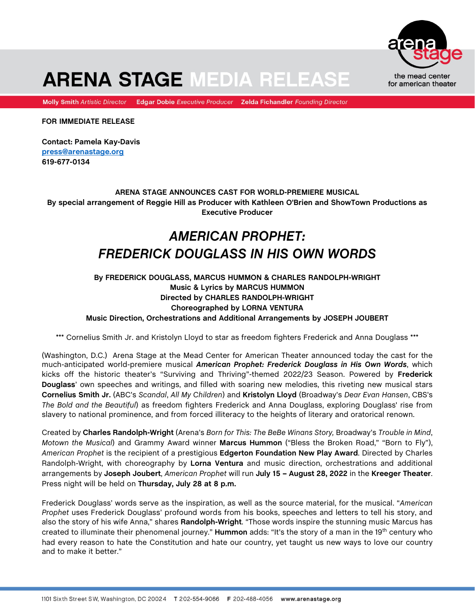

# **ARENA STAGE MEDIA RELEASE**

Molly Smith Artistic Director Edgar Dobie Executive Producer Zelda Fichandler Founding Director

**FOR IMMEDIATE RELEASE**

**Contact: Pamela Kay-Davis [press@arenastage.org](mailto:press@arenastage.org) 619-677-0134**

# **ARENA STAGE ANNOUNCES CAST FOR WORLD-PREMIERE MUSICAL By special arrangement of Reggie Hill as Producer with Kathleen O'Brien and ShowTown Productions as Executive Producer**

# *AMERICAN PROPHET: FREDERICK DOUGLASS IN HIS OWN WORDS*

# **By FREDERICK DOUGLASS, MARCUS HUMMON & CHARLES RANDOLPH-WRIGHT Music & Lyrics by MARCUS HUMMON Directed by CHARLES RANDOLPH-WRIGHT Choreographed by LORNA VENTURA Music Direction, Orchestrations and Additional Arrangements by JOSEPH JOUBERT**

\*\*\* Cornelius Smith Jr. and Kristolyn Lloyd to star as freedom fighters Frederick and Anna Douglass \*\*\*

(Washington, D.C.) Arena Stage at the Mead Center for American Theater announced today the cast for the much-anticipated world-premiere musical *American Prophet: Frederick Douglass in His Own Words*, which kicks off the historic theater's "Surviving and Thriving"-themed 2022/23 Season. Powered by **Frederick Douglass**' own speeches and writings, and filled with soaring new melodies, this riveting new musical stars **Cornelius Smith Jr.** (ABC's *Scandal*, *All My Children*) and **Kristolyn Lloyd** (Broadway's *Dear Evan Hansen*, CBS's *The Bold and the Beautiful*) as freedom fighters Frederick and Anna Douglass, exploring Douglass' rise from slavery to national prominence, and from forced illiteracy to the heights of literary and oratorical renown.

Created by **Charles Randolph-Wright** (Arena's *Born for This: The BeBe Winans Story,* Broadway's *Trouble in Mind*, *Motown the Musical*) and Grammy Award winner **Marcus Hummon** ("Bless the Broken Road," "Born to Fly"), *American Prophet* is the recipient of a prestigious **Edgerton Foundation New Play Award**. Directed by Charles Randolph-Wright, with choreography by **Lorna Ventura** and music direction, orchestrations and additional arrangements by **Joseph Joubert**, *American Prophet* will run **July 15 – August 28, 2022** in the **Kreeger Theater**. Press night will be held on **Thursday, July 28 at 8 p.m.**

Frederick Douglass' words serve as the inspiration, as well as the source material, for the musical. "*American Prophet* uses Frederick Douglass' profound words from his books, speeches and letters to tell his story, and also the story of his wife Anna," shares **Randolph-Wright**. "Those words inspire the stunning music Marcus has created to illuminate their phenomenal journey." **Hummon** adds: "It's the story of a man in the 19th century who had every reason to hate the Constitution and hate our country, yet taught us new ways to love our country and to make it better."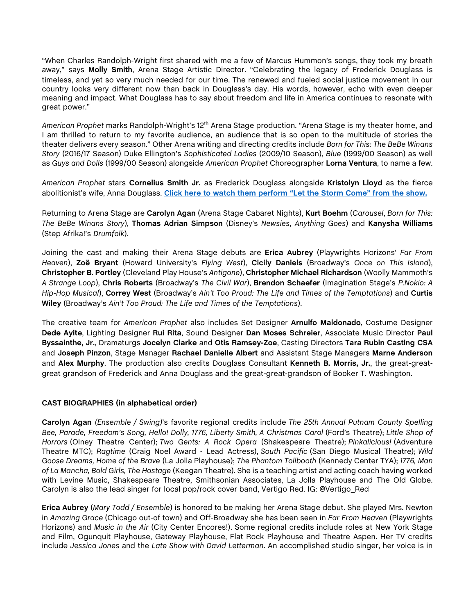"When Charles Randolph-Wright first shared with me a few of Marcus Hummon's songs, they took my breath away," says **Molly Smith**, Arena Stage Artistic Director. "Celebrating the legacy of Frederick Douglass is timeless, and yet so very much needed for our time. The renewed and fueled social justice movement in our country looks very different now than back in Douglass's day. His words, however, echo with even deeper meaning and impact. What Douglass has to say about freedom and life in America continues to resonate with great power."

*American Prophet* marks Randolph-Wright's 12th Arena Stage production. "Arena Stage is my theater home, and I am thrilled to return to my favorite audience, an audience that is so open to the multitude of stories the theater delivers every season." Other Arena writing and directing credits include *Born for This: The BeBe Winans Story* (2016/17 Season) Duke Ellington's *Sophisticated Ladies* (2009/10 Season), *Blue* (1999/00 Season) as well as *Guys and Dolls* (1999/00 Season) alongside *American Prophet* Choreographer **Lorna Ventura**, to name a few.

*American Prophet* stars **Cornelius Smith Jr.** as Frederick Douglass alongside **Kristolyn Lloyd** as the fierce abolitionist's wife, Anna Douglass. **Click here to watch them [perform "Let the Storm Come"](https://www.youtube.com/watch?v=VSNYv-sJR4k&feature=youtu.be) from the show.**

Returning to Arena Stage are **Carolyn Agan** (Arena Stage Cabaret Nights), **Kurt Boehm** (*Carousel*, *Born for This: The BeBe Winans Story*), **Thomas Adrian Simpson** (Disney's *Newsies*, *Anything Goes*) and **Kanysha Williams** (Step Afrika!'s *Drumfolk*).

Joining the cast and making their Arena Stage debuts are **Erica Aubrey** (Playwrights Horizons' *Far From Heaven*), **Zoë Bryant** (Howard University's *Flying West*), **Cicily Daniels** (Broadway's *Once on This Island*), **Christopher B. Portley** (Cleveland Play House's *Antigone*), **Christopher Michael Richardson** (Woolly Mammoth's *A Strange Loop*), **Chris Roberts** (Broadway's *The Civil War*), **Brendon Schaefer** (Imagination Stage's *P.Nokio: A Hip-Hop Musical*), **Correy West** (Broadway's *Ain't Too Proud: The Life and Times of the Temptations*) and **Curtis Wiley** (Broadway's *Ain't Too Proud: The Life and Times of the Temptations*).

The creative team for *American Prophet* also includes Set Designer **Arnulfo Maldonado**, Costume Designer **Dede Ayite**, Lighting Designer **Rui Rita**, Sound Designer **Dan Moses Schreier**, Associate Music Director **Paul Byssainthe, Jr.**, Dramaturgs **Jocelyn Clarke** and **Otis Ramsey-Zoe**, Casting Directors **Tara Rubin Casting CSA** and **Joseph Pinzon**, Stage Manager **Rachael Danielle Albert** and Assistant Stage Managers **Marne Anderson** and **Alex Murphy**. The production also credits Douglass Consultant **Kenneth B. Morris, Jr.**, the great-greatgreat grandson of Frederick and Anna Douglass and the great-great-grandson of Booker T. Washington.

# **CAST BIOGRAPHIES (in alphabetical order)**

**Carolyn Agan** *(Ensemble / Swing)*'s favorite regional credits include *The 25th Annual Putnam County Spelling Bee, Parade, Freedom's Song, Hello! Dolly, 1776, Liberty Smith, A Christmas Carol* (Ford's Theatre); *Little Shop of Horrors* (Olney Theatre Center); *Two Gents: A Rock Opera* (Shakespeare Theatre); *Pinkalicious!* (Adventure Theatre MTC); *Ragtime* (Craig Noel Award - Lead Actress), *South Pacific* (San Diego Musical Theatre); *Wild Goose Dreams, Home of the Brave* (La Jolla Playhouse); *The Phantom Tollbooth* (Kennedy Center TYA); *1776, Man of La Mancha, Bold Girls, The Hostage* (Keegan Theatre). She is a teaching artist and acting coach having worked with Levine Music, Shakespeare Theatre, Smithsonian Associates, La Jolla Playhouse and The Old Globe. Carolyn is also the lead singer for local pop/rock cover band, Vertigo Red. IG: @Vertigo\_Red

**Erica Aubrey** (*Mary Todd / Ensemble*) is honored to be making her Arena Stage debut. She played Mrs. Newton in *Amazing Grace* (Chicago out-of town) and Off-Broadway she has been seen in *Far From Heaven* (Playwrights Horizons) and *Music in the Air* (City Center Encores!). Some regional credits include roles at New York Stage and Film, Ogunquit Playhouse, Gateway Playhouse, Flat Rock Playhouse and Theatre Aspen. Her TV credits include *Jessica Jones* and the *Late Show with David Letterman*. An accomplished studio singer, her voice is in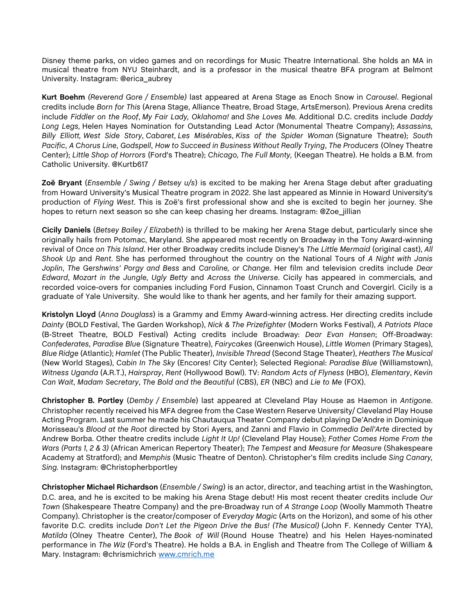Disney theme parks, on video games and on recordings for Music Theatre International. She holds an MA in musical theatre from NYU Steinhardt, and is a professor in the musical theatre BFA program at Belmont University. Instagram: @erica\_aubrey

**Kurt Boehm** *(Reverend Gore / Ensemble)* last appeared at Arena Stage as Enoch Snow in *Carousel*. Regional credits include *Born for This* (Arena Stage, Alliance Theatre, Broad Stage, ArtsEmerson). Previous Arena credits include *Fiddler on the Roof*, *My Fair Lady, Oklahoma!* and *She Loves Me.* Additional D.C. credits include *Daddy Long Legs,* Helen Hayes Nomination for Outstanding Lead Actor *(*Monumental Theatre Company); *Assassins, Billy Elliott, West Side Story*, *Cabaret*, *Les Misérables*, *Kiss of the Spider Woman* (Signature Theatre); *South Pacific*, *A Chorus Line*, *Godspell*, *How to Succeed in Business Without Really Trying*, *The Producers* (Olney Theatre Center); *Little Shop of Horrors* (Ford's Theatre); *Chicago, The Full Monty,* (Keegan Theatre). He holds a B.M. from Catholic University. @Kurtb617

**Zoë Bryant** (*Ensemble / Swing / Betsey u/s*) is excited to be making her Arena Stage debut after graduating from Howard University's Musical Theatre program in 2022. She last appeared as Minnie in Howard University's production of *Flying West*. This is Zoë's first professional show and she is excited to begin her journey. She hopes to return next season so she can keep chasing her dreams. Instagram: @Zoe\_jillian

**Cicily Daniels** (*Betsey Bailey / Elizabeth*) is thrilled to be making her Arena Stage debut, particularly since she originally hails from Potomac, Maryland. She appeared most recently on Broadway in the Tony Award-winning revival of *Once on This Island*. Her other Broadway credits include Disney's *The Little Mermaid* (original cast), *All Shook Up* and *Rent*. She has performed throughout the country on the National Tours of *A Night with Janis Joplin*, *The Gershwins' Porgy and Bess* and *Caroline, or Change*. Her film and television credits include *Dear Edward*, *Mozart in the Jungle*, *Ugly Betty* and *Across the Universe*. Cicily has appeared in commercials, and recorded voice-overs for companies including Ford Fusion, Cinnamon Toast Crunch and Covergirl. Cicily is a graduate of Yale University. She would like to thank her agents, and her family for their amazing support.

**Kristolyn Lloyd** (*Anna Douglass*) is a Grammy and Emmy Award-winning actress. Her directing credits include *Dainty* (BOLD Festival, The Garden Workshop), *Nick & The Prizefighter* (Modern Works Festival), *A Patriots Place* (B-Street Theatre, BOLD Festival) Acting credits include Broadway: *Dear Evan Hansen*; Off-Broadway: *Confederates*, *Paradise Blue* (Signature Theatre), *Fairycakes* (Greenwich House), *Little Women* (Primary Stages), *Blue Ridge* (Atlantic); *Hamlet* (The Public Theater), *Invisible Thread* (Second Stage Theater), *Heathers The Musical* (New World Stages), *Cabin In The Sky* (Encores! City Center); Selected Regional: *Paradise Blue* (Williamstown), *Witness Uganda* (A.R.T.), *Hairspray*, *Rent* (Hollywood Bowl). TV: *Random Acts of Flyness* (HBO), *Elementary*, *Kevin Can Wait*, *Madam Secretary*, *The Bold and the Beautiful* (CBS), *ER* (NBC) and *Lie to Me* (FOX).

**Christopher B. Portley** (*Demby / Ensemble*) last appeared at Cleveland Play House as Haemon in *Antigone*. Christopher recently received his MFA degree from the Case Western Reserve University/ Cleveland Play House Acting Program. Last summer he made his Chautauqua Theater Company debut playing De'Andre in Dominique Morisseau's *Blood at the Root* directed by Stori Ayers, and Zanni and Flavio in *Commedia Dell'Arte* directed by Andrew Borba. Other theatre credits include *Light It Up!* (Cleveland Play House); *Father Comes Home From the Wars (Parts 1, 2 & 3)* (African American Repertory Theater); *The Tempest* and *Measure for Measure* (Shakespeare Academy at Stratford); and *Memphis* (Music Theatre of Denton). Christopher's film credits include *Sing Canary, Sing.* Instagram: @Christopherbportley

**Christopher Michael Richardson** (*Ensemble / Swing*) is an actor, director, and teaching artist in the Washington, D.C. area, and he is excited to be making his Arena Stage debut! His most recent theater credits include *Our Town* (Shakespeare Theatre Company) and the pre-Broadway run of *A Strange Loop* (Woolly Mammoth Theatre Company). Christopher is the creator/composer of *Everyday Magic* (Arts on the Horizon), and some of his other favorite D.C. credits include *Don't Let the Pigeon Drive the Bus! (The Musical)* (John F. Kennedy Center TYA), *Matilda* (Olney Theatre Center), *The Book of Will* (Round House Theatre) and his Helen Hayes-nominated performance in *The Wiz* (Ford's Theatre). He holds a B.A. in English and Theatre from The College of William & Mary. Instagram: @chrismichrich [www.cmrich.me](http://www.cmrich.me/)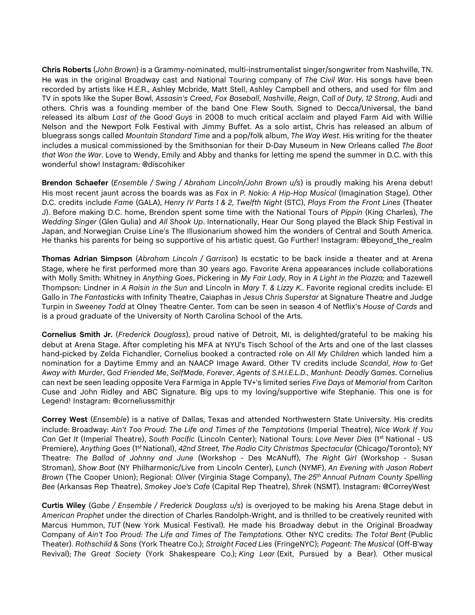**Chris Roberts** (*John Brown*) is a Grammy-nominated, multi-instrumentalist singer/songwriter from Nashville, TN. He was in the original Broadway cast and National Touring company of *The Civil War*. His songs have been recorded by artists like H.E.R., Ashley Mcbride, Matt Stell, Ashley Campbell and others, and used for film and TV in spots like the Super Bowl, *Assasin's Creed*, *Fox Baseball*, *Nashville*, *Reign*, *Call of Duty*, *12 Strong*, Audi and others. Chris was a founding member of the band One Flew South. Signed to Decca/Universal, the band released its album *Last of the Good Guys* in 2008 to much critical acclaim and played Farm Aid with Willie Nelson and the Newport Folk Festival with Jimmy Buffet. As a solo artist, Chris has released an album of bluegrass songs called *Mountain Standard Time* and a pop/folk album, *The Way West*. His writing for the theater includes a musical commissioned by the Smithsonian for their D-Day Museum in New Orleans called *The Boat that Won the War*. Love to Wendy, Emily and Abby and thanks for letting me spend the summer in D.C. with this wonderful show! Instagram: @discohiker

**Brendon Schaefer** (*Ensemble / Swing / Abraham Lincoln/John Brown u/s*) is proudly making his Arena debut! His most recent jaunt across the boards was as Fox in *P. Nokio: A Hip-Hop Musical* (Imagination Stage). Other D.C. credits include *Fame* (GALA), *Henry IV Parts 1 & 2*, *Twelfth Night* (STC), *Plays From the Front Lines* (Theater J). Before making D.C. home, Brendon spent some time with the National Tours of *Pippin* (King Charles), *The Wedding Singer* (Glen Gulia) and *All Shook Up*. Internationally, Hear Our Song played the Black Ship Festival in Japan, and Norwegian Cruise Line's The Illusionarium showed him the wonders of Central and South America. He thanks his parents for being so supportive of his artistic quest. Go Further! Instagram: @beyond\_the\_realm

**Thomas Adrian Simpson** (*Abraham Lincoln / Garrison*) Is ecstatic to be back inside a theater and at Arena Stage, where he first performed more than 30 years ago. Favorite Arena appearances include collaborations with Molly Smith: Whitney in *Anything Goes*, Pickering in *My Fair Lady,* Roy in *A Light in the Piazza;* and Tazewell Thompson: Lindner in *A Raisin in the Sun* and Lincoln in *Mary T. & Lizzy K..* Favorite regional credits include: El Gallo in *The Fantasticks* with Infinity Theatre, Caiaphas in *Jesus Chris Superstar* at Signature Theatre and Judge Turpin in *Sweeney Todd* at Olney Theatre Center. Tom can be seen in season 4 of Netflix's *House of Cards* and is a proud graduate of the University of North Carolina School of the Arts.

**Cornelius Smith Jr.** (*Frederick Douglass*), proud native of Detroit, MI, is delighted/grateful to be making his debut at Arena Stage. After completing his MFA at NYU's Tisch School of the Arts and one of the last classes hand-picked by Zelda Fichandler, Cornelius booked a contracted role on *All My Children* which landed him a nomination for a Daytime Emmy and an NAACP Image Award. Other TV credits include *Scandal*, *How to Get Away with Murder*, *God Friended Me*, *SelfMade*, *Forever*, *Agents of S.H.I.E.L.D.*, *Manhunt: Deadly Games*. Cornelius can next be seen leading opposite Vera Farmiga in Apple TV+'s limited series *Five Days at Memorial* from Carlton Cuse and John Ridley and ABC Signature. Big ups to my loving/supportive wife Stephanie. This one is for Legend! Instagram: @corneliussmithjr

**Correy West** (*Ensemble*) is a native of Dallas, Texas and attended Northwestern State University. His credits include: Broadway: *Ain't Too Proud: The Life and Times of the Temptations* (Imperial Theatre), *Nice Work If You Can Get It* (Imperial Theatre), *South Pacific* (Lincoln Center); National Tours: *Love Never Dies* (1st National - US Premiere), *Anything Goes* (1st National), *42nd Street, The Radio City Christmas Spectacular* (Chicago/Toronto); NY Theatre: *The Ballad of Johnny and June* (Workshop - Des McANuff), *The Right Girl* (Workshop - Susan Stroman), *Show Boat* (NY Philharmonic/Live from Lincoln Center), *Lunch* (NYMF), *An Evening with Jason Robert Brown* (The Cooper Union); Regional: *Oliver* (Virginia Stage Company), *The 25th Annual Putnam County Spelling Bee* (Arkansas Rep Theatre), *Smokey Joe's Cafe* (Capital Rep Theatre), *Shrek* (NSMT). Instagram: @CorreyWest

**Curtis Wiley** (*Gabe / Ensemble / Frederick Douglass u/s*) is overjoyed to be making his Arena Stage debut in *American Prophet* under the direction of Charles Randolph-Wright, and is thrilled to be creatively reunited with Marcus Hummon, *TUT* (New York Musical Festival). He made his Broadway debut in the Original Broadway Company of *Ain't Too Proud: The Life and Times of The Temptations.* Other NYC credits: *The Total Bent* (Public Theater). *Rothschild & Sons* (York Theatre Co.); *Straight Faced Lies* (FringeNYC); *Pageant: The Musical* (Off-B'way Revival); *The Great Society* (York Shakespeare Co.); *King Lear* (Exit, Pursued by a Bear). Other musical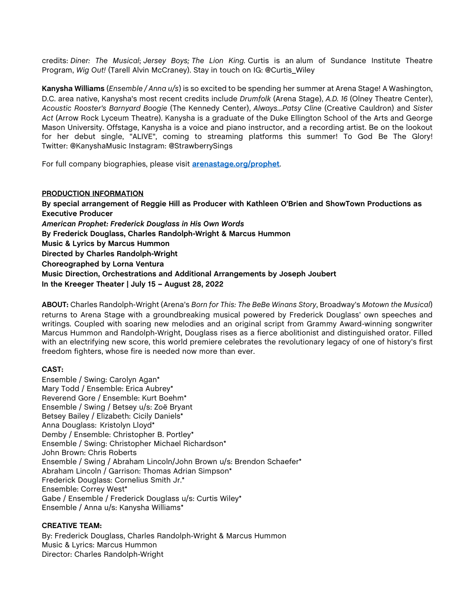credits: *Diner: The Musical*; *Jersey Boys; The Lion King.* Curtis is an alum of Sundance Institute Theatre Program, *Wig Out!* (Tarell Alvin McCraney). Stay in touch on IG: @Curtis\_Wiley

**Kanysha Williams** (*Ensemble / Anna u/s*) is so excited to be spending her summer at Arena Stage! A Washington, D.C. area native, Kanysha's most recent credits include *Drumfolk* (Arena Stage), *A.D. 16* (Olney Theatre Center), *Acoustic Rooster's Barnyard Boogie* (The Kennedy Center), *Always...Patsy Cline* (Creative Cauldron) and *Sister Act* (Arrow Rock Lyceum Theatre). Kanysha is a graduate of the Duke Ellington School of the Arts and George Mason University. Offstage, Kanysha is a voice and piano instructor, and a recording artist. Be on the lookout for her debut single, "ALIVE", coming to streaming platforms this summer! To God Be The Glory! Twitter: @KanyshaMusic Instagram: @StrawberrySings

For full company biographies, please visit **[arenastage.org/prophet](https://www.arenastage.org/tickets/2022-23-season/american-prophet)**.

# **PRODUCTION INFORMATION**

**By special arrangement of Reggie Hill as Producer with Kathleen O'Brien and ShowTown Productions as Executive Producer** *American Prophet: Frederick Douglass in His Own Words* **By Frederick Douglass, Charles Randolph-Wright & Marcus Hummon Music & Lyrics by Marcus Hummon Directed by Charles Randolph-Wright Choreographed by Lorna Ventura Music Direction, Orchestrations and Additional Arrangements by Joseph Joubert In the Kreeger Theater | July 15 – August 28, 2022**

**ABOUT:** Charles Randolph-Wright (Arena's *Born for This: The BeBe Winans Story*, Broadway's *Motown the Musical*) returns to Arena Stage with a groundbreaking musical powered by Frederick Douglass' own speeches and writings. Coupled with soaring new melodies and an original script from Grammy Award-winning songwriter Marcus Hummon and Randolph-Wright, Douglass rises as a fierce abolitionist and distinguished orator. Filled with an electrifying new score, this world premiere celebrates the revolutionary legacy of one of history's first freedom fighters, whose fire is needed now more than ever.

# **CAST:**

Ensemble / Swing: Carolyn Agan\* Mary Todd / Ensemble: Erica Aubrey\* Reverend Gore / Ensemble: Kurt Boehm\* Ensemble / Swing / Betsey u/s: Zoë Bryant Betsey Bailey / Elizabeth: Cicily Daniels\* Anna Douglass: Kristolyn Lloyd\* Demby / Ensemble: Christopher B. Portley\* Ensemble / Swing: Christopher Michael Richardson\* John Brown: Chris Roberts Ensemble / Swing / Abraham Lincoln/John Brown u/s: Brendon Schaefer\* Abraham Lincoln / Garrison: Thomas Adrian Simpson\* Frederick Douglass: Cornelius Smith Jr.\* Ensemble: Correy West\* Gabe / Ensemble / Frederick Douglass u/s: Curtis Wiley\* Ensemble / Anna u/s: Kanysha Williams\*

# **CREATIVE TEAM:**

By: Frederick Douglass, Charles Randolph-Wright & Marcus Hummon Music & Lyrics: Marcus Hummon Director: Charles Randolph-Wright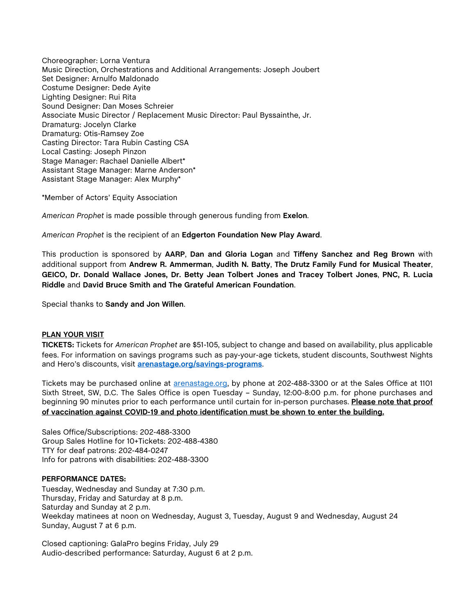Choreographer: Lorna Ventura Music Direction, Orchestrations and Additional Arrangements: Joseph Joubert Set Designer: Arnulfo Maldonado Costume Designer: Dede Ayite Lighting Designer: Rui Rita Sound Designer: Dan Moses Schreier Associate Music Director / Replacement Music Director: Paul Byssainthe, Jr. Dramaturg: Jocelyn Clarke Dramaturg: Otis-Ramsey Zoe Casting Director: Tara Rubin Casting CSA Local Casting: Joseph Pinzon Stage Manager: Rachael Danielle Albert\* Assistant Stage Manager: Marne Anderson\* Assistant Stage Manager: Alex Murphy\*

\*Member of Actors' Equity Association

*American Prophet* is made possible through generous funding from **Exelon**.

*American Prophet* is the recipient of an **Edgerton Foundation New Play Award**.

This production is sponsored by **AARP**, **Dan and Gloria Logan** and **Tiffeny Sanchez and Reg Brown** with additional support from **Andrew R. Ammerman**, **Judith N. Batty**, **The Drutz Family Fund for Musical Theater**, **GEICO, Dr. Donald Wallace Jones, Dr. Betty Jean Tolbert Jones and Tracey Tolbert Jones**, **PNC, R. Lucia Riddle** and **David Bruce Smith and The Grateful American Foundation**.

Special thanks to **Sandy and Jon Willen**.

#### **PLAN YOUR VISIT**

**TICKETS:** Tickets for *American Prophet* are \$51-105, subject to change and based on availability, plus applicable fees. For information on savings programs such as pay-your-age tickets, student discounts, Southwest Nights and Hero's discounts, visit **[arenastage.org/savings-programs](https://www.arenastage.org/tickets/savings-programs)**.

Tickets may be purchased online at [arenastage.org,](http://www.arenastage.org/) by phone at 202-488-3300 or at the Sales Office at 1101 Sixth Street, SW, D.C. The Sales Office is open Tuesday – Sunday, 12:00-8:00 p.m. for phone purchases and beginning 90 minutes prior to each performance until curtain for in-person purchases. **Please note that proof of vaccination against COVID-19 and photo identification must be shown to enter the building.**

Sales Office/Subscriptions: 202-488-3300 Group Sales Hotline for 10+Tickets: 202-488-4380 TTY for deaf patrons: 202-484-0247 Info for patrons with disabilities: 202-488-3300

#### **PERFORMANCE DATES:**

Tuesday, Wednesday and Sunday at 7:30 p.m. Thursday, Friday and Saturday at 8 p.m. Saturday and Sunday at 2 p.m. Weekday matinees at noon on Wednesday, August 3, Tuesday, August 9 and Wednesday, August 24 Sunday, August 7 at 6 p.m.

Closed captioning: GalaPro begins Friday, July 29 Audio-described performance: Saturday, August 6 at 2 p.m.